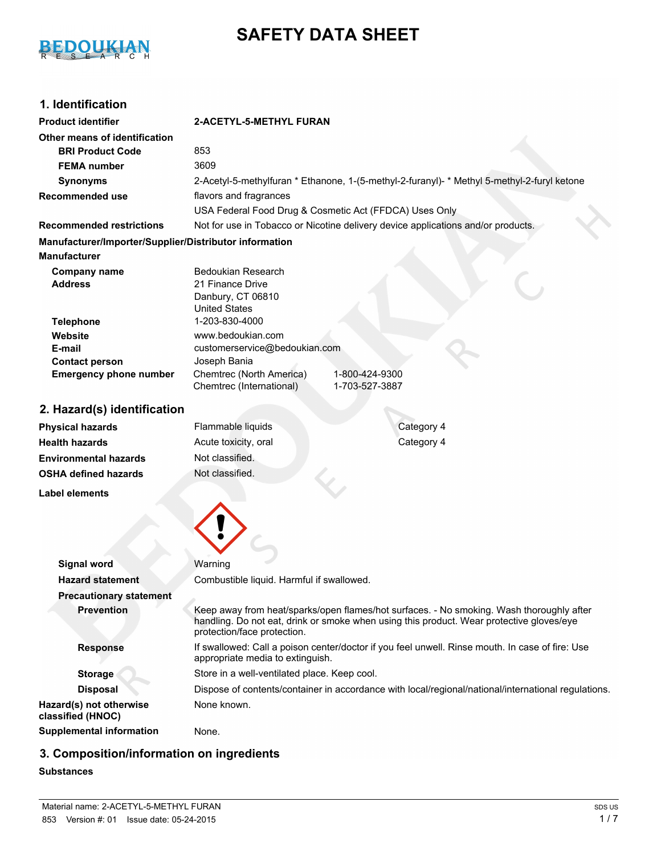

# **SAFETY DATA SHEET**

# **1. Identification**

| <b>Product identifier</b>                                                     | 2-ACETYL-5-METHYL FURAN                                                                                                                                                                                             |
|-------------------------------------------------------------------------------|---------------------------------------------------------------------------------------------------------------------------------------------------------------------------------------------------------------------|
| Other means of identification                                                 |                                                                                                                                                                                                                     |
| <b>BRI Product Code</b>                                                       | 853                                                                                                                                                                                                                 |
| <b>FEMA</b> number                                                            | 3609                                                                                                                                                                                                                |
| <b>Synonyms</b>                                                               | 2-Acetyl-5-methylfuran * Ethanone, 1-(5-methyl-2-furanyl)- * Methyl 5-methyl-2-furyl ketone                                                                                                                         |
| <b>Recommended use</b>                                                        | flavors and fragrances                                                                                                                                                                                              |
|                                                                               | USA Federal Food Drug & Cosmetic Act (FFDCA) Uses Only                                                                                                                                                              |
| <b>Recommended restrictions</b>                                               | Not for use in Tobacco or Nicotine delivery device applications and/or products.                                                                                                                                    |
| Manufacturer/Importer/Supplier/Distributor information<br><b>Manufacturer</b> |                                                                                                                                                                                                                     |
|                                                                               |                                                                                                                                                                                                                     |
| <b>Company name</b><br><b>Address</b>                                         | Bedoukian Research<br>21 Finance Drive                                                                                                                                                                              |
|                                                                               | Danbury, CT 06810                                                                                                                                                                                                   |
|                                                                               | <b>United States</b>                                                                                                                                                                                                |
| <b>Telephone</b>                                                              | 1-203-830-4000                                                                                                                                                                                                      |
| Website                                                                       | www.bedoukian.com                                                                                                                                                                                                   |
| E-mail                                                                        | customerservice@bedoukian.com                                                                                                                                                                                       |
| <b>Contact person</b>                                                         | Joseph Bania<br>Chemtrec (North America)                                                                                                                                                                            |
| <b>Emergency phone number</b>                                                 | 1-800-424-9300<br>Chemtrec (International)<br>1-703-527-3887                                                                                                                                                        |
|                                                                               |                                                                                                                                                                                                                     |
| 2. Hazard(s) identification                                                   |                                                                                                                                                                                                                     |
| <b>Physical hazards</b>                                                       | Flammable liquids<br>Category 4                                                                                                                                                                                     |
| <b>Health hazards</b>                                                         | Category 4<br>Acute toxicity, oral                                                                                                                                                                                  |
| <b>Environmental hazards</b>                                                  | Not classified.                                                                                                                                                                                                     |
| <b>OSHA defined hazards</b>                                                   | Not classified.                                                                                                                                                                                                     |
| <b>Label elements</b>                                                         |                                                                                                                                                                                                                     |
|                                                                               |                                                                                                                                                                                                                     |
|                                                                               |                                                                                                                                                                                                                     |
|                                                                               |                                                                                                                                                                                                                     |
| <b>Signal word</b>                                                            | Warning                                                                                                                                                                                                             |
| <b>Hazard statement</b>                                                       | Combustible liquid. Harmful if swallowed.                                                                                                                                                                           |
| <b>Precautionary statement</b>                                                |                                                                                                                                                                                                                     |
| <b>Prevention</b>                                                             | Keep away from heat/sparks/open flames/hot surfaces. - No smoking. Wash thoroughly after<br>handling. Do not eat, drink or smoke when using this product. Wear protective gloves/eye<br>protection/face protection. |
| <b>Response</b>                                                               | If swallowed: Call a poison center/doctor if you feel unwell. Rinse mouth. In case of fire: Use<br>appropriate media to extinguish.                                                                                 |
| <b>Storage</b>                                                                | Store in a well-ventilated place. Keep cool.                                                                                                                                                                        |

**Disposal** Dispose of contents/container in accordance with local/regional/national/international regulations. None known.

**classified (HNOC) Supplemental information** None.

# **3. Composition/information on ingredients**

## **Substances**

**Hazard(s) not otherwise**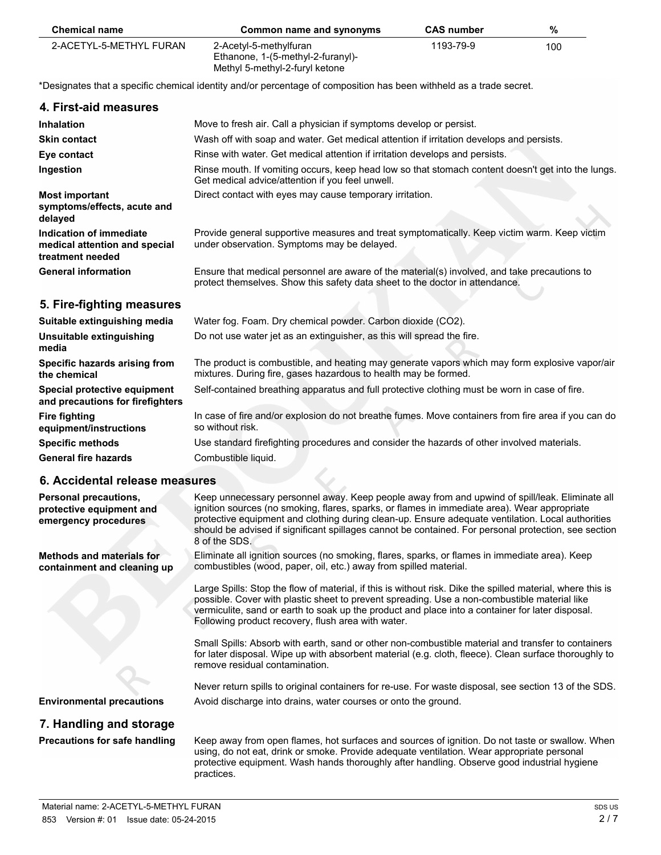| <b>Chemical name</b>    | Common name and synonyms                                                                      | <b>CAS number</b> | %   |
|-------------------------|-----------------------------------------------------------------------------------------------|-------------------|-----|
| 2-ACETYL-5-METHYL FURAN | 2-Acetyl-5-methylfuran<br>Ethanone, 1-(5-methyl-2-furanyl)-<br>Methyl 5-methyl-2-furyl ketone | 1193-79-9         | 100 |

\*Designates that a specific chemical identity and/or percentage of composition has been withheld as a trade secret.

| 4. First-aid measures                                                        |                                                                                                                                                                              |
|------------------------------------------------------------------------------|------------------------------------------------------------------------------------------------------------------------------------------------------------------------------|
| <b>Inhalation</b>                                                            | Move to fresh air. Call a physician if symptoms develop or persist.                                                                                                          |
| <b>Skin contact</b>                                                          | Wash off with soap and water. Get medical attention if irritation develops and persists.                                                                                     |
| Eye contact                                                                  | Rinse with water. Get medical attention if irritation develops and persists.                                                                                                 |
| Ingestion                                                                    | Rinse mouth. If vomiting occurs, keep head low so that stomach content doesn't get into the lungs.<br>Get medical advice/attention if you feel unwell.                       |
| <b>Most important</b><br>symptoms/effects, acute and<br>delayed              | Direct contact with eyes may cause temporary irritation.                                                                                                                     |
| Indication of immediate<br>medical attention and special<br>treatment needed | Provide general supportive measures and treat symptomatically. Keep victim warm. Keep victim<br>under observation. Symptoms may be delayed.                                  |
| <b>General information</b>                                                   | Ensure that medical personnel are aware of the material(s) involved, and take precautions to<br>protect themselves. Show this safety data sheet to the doctor in attendance. |
| 5. Fire-fighting measures                                                    |                                                                                                                                                                              |
| Suitable extinguishing media                                                 | Water fog. Foam. Dry chemical powder. Carbon dioxide (CO2).                                                                                                                  |
| Unsuitable extinguishing<br>media                                            | Do not use water jet as an extinguisher, as this will spread the fire.                                                                                                       |
| Specific hazards arising from<br>the chemical                                | The product is combustible, and heating may generate vapors which may form explosive vapor/air<br>mixtures. During fire, gases hazardous to health may be formed.            |
| Special protective equipment<br>and precautions for firefighters             | Self-contained breathing apparatus and full protective clothing must be worn in case of fire.                                                                                |
| <b>Fire fighting</b><br>equipment/instructions                               | In case of fire and/or explosion do not breathe fumes. Move containers from fire area if you can do<br>so without risk.                                                      |
| <b>Specific methods</b>                                                      | Use standard firefighting procedures and consider the hazards of other involved materials.                                                                                   |
| <b>General fire hazards</b>                                                  | Combustible liquid.                                                                                                                                                          |
|                                                                              |                                                                                                                                                                              |

### **6. Accidental release measures**

 $\overline{\phantom{0}}$ 

| Personal precautions,<br>protective equipment and<br>emergency procedures | Keep unnecessary personnel away. Keep people away from and upwind of spill/leak. Eliminate all<br>ignition sources (no smoking, flares, sparks, or flames in immediate area). Wear appropriate<br>protective equipment and clothing during clean-up. Ensure adequate ventilation. Local authorities<br>should be advised if significant spillages cannot be contained. For personal protection, see section<br>8 of the SDS. |
|---------------------------------------------------------------------------|------------------------------------------------------------------------------------------------------------------------------------------------------------------------------------------------------------------------------------------------------------------------------------------------------------------------------------------------------------------------------------------------------------------------------|
| Methods and materials for<br>containment and cleaning up                  | Eliminate all ignition sources (no smoking, flares, sparks, or flames in immediate area). Keep<br>combustibles (wood, paper, oil, etc.) away from spilled material.                                                                                                                                                                                                                                                          |
|                                                                           | Large Spills: Stop the flow of material, if this is without risk. Dike the spilled material, where this is<br>possible. Cover with plastic sheet to prevent spreading. Use a non-combustible material like<br>vermiculite, sand or earth to soak up the product and place into a container for later disposal.<br>Following product recovery, flush area with water.                                                         |
|                                                                           | Small Spills: Absorb with earth, sand or other non-combustible material and transfer to containers<br>for later disposal. Wipe up with absorbent material (e.g. cloth, fleece). Clean surface thoroughly to<br>remove residual contamination.                                                                                                                                                                                |
|                                                                           | Never return spills to original containers for re-use. For waste disposal, see section 13 of the SDS.                                                                                                                                                                                                                                                                                                                        |
| <b>Environmental precautions</b>                                          | Avoid discharge into drains, water courses or onto the ground.                                                                                                                                                                                                                                                                                                                                                               |
| 7. Handling and storage                                                   |                                                                                                                                                                                                                                                                                                                                                                                                                              |
|                                                                           | Keep quay from apon flames, bet qurfaces and equress of ignition. Do not toote ar quallow When                                                                                                                                                                                                                                                                                                                               |

**Precautions for safe handling** Keep away from open flames, hot surfaces and sources of ignition. Do not taste or swallow. When using, do not eat, drink or smoke. Provide adequate ventilation. Wear appropriate personal protective equipment. Wash hands thoroughly after handling. Observe good industrial hygiene practices.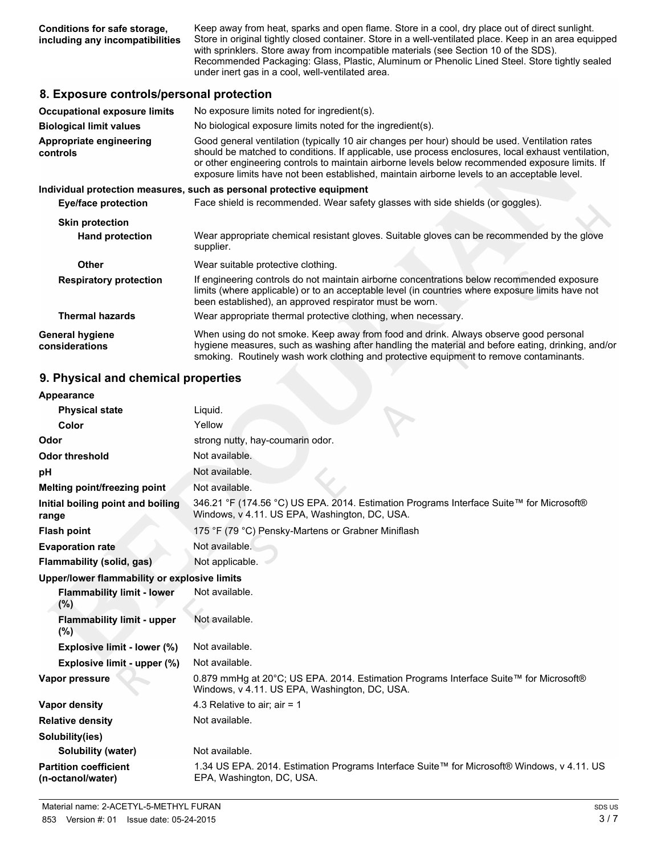**Conditions for safe storage, including any incompatibilities** Keep away from heat, sparks and open flame. Store in a cool, dry place out of direct sunlight. Store in original tightly closed container. Store in a well-ventilated place. Keep in an area equipped with sprinklers. Store away from incompatible materials (see Section 10 of the SDS). Recommended Packaging: Glass, Plastic, Aluminum or Phenolic Lined Steel. Store tightly sealed under inert gas in a cool, well-ventilated area.

### **8. Exposure controls/personal protection**

| <b>Occupational exposure limits</b>      | No exposure limits noted for ingredient(s).                                                                                                                                                                                                                                                                                                                                                            |  |
|------------------------------------------|--------------------------------------------------------------------------------------------------------------------------------------------------------------------------------------------------------------------------------------------------------------------------------------------------------------------------------------------------------------------------------------------------------|--|
| <b>Biological limit values</b>           | No biological exposure limits noted for the ingredient(s).                                                                                                                                                                                                                                                                                                                                             |  |
| Appropriate engineering<br>controls      | Good general ventilation (typically 10 air changes per hour) should be used. Ventilation rates<br>should be matched to conditions. If applicable, use process enclosures, local exhaust ventilation,<br>or other engineering controls to maintain airborne levels below recommended exposure limits. If<br>exposure limits have not been established, maintain airborne levels to an acceptable level. |  |
|                                          | Individual protection measures, such as personal protective equipment                                                                                                                                                                                                                                                                                                                                  |  |
| Eye/face protection                      | Face shield is recommended. Wear safety glasses with side shields (or goggles).                                                                                                                                                                                                                                                                                                                        |  |
| <b>Skin protection</b>                   |                                                                                                                                                                                                                                                                                                                                                                                                        |  |
| <b>Hand protection</b>                   | Wear appropriate chemical resistant gloves. Suitable gloves can be recommended by the glove<br>supplier.                                                                                                                                                                                                                                                                                               |  |
| Other                                    | Wear suitable protective clothing.                                                                                                                                                                                                                                                                                                                                                                     |  |
| <b>Respiratory protection</b>            | If engineering controls do not maintain airborne concentrations below recommended exposure<br>limits (where applicable) or to an acceptable level (in countries where exposure limits have not<br>been established), an approved respirator must be worn.                                                                                                                                              |  |
| <b>Thermal hazards</b>                   | Wear appropriate thermal protective clothing, when necessary.                                                                                                                                                                                                                                                                                                                                          |  |
| <b>General hygiene</b><br>considerations | When using do not smoke. Keep away from food and drink. Always observe good personal<br>hygiene measures, such as washing after handling the material and before eating, drinking, and/or<br>smoking. Routinely wash work clothing and protective equipment to remove contaminants.                                                                                                                    |  |

### **9. Physical and chemical properties**

| Appearance                                        |                                                                                                                                          |
|---------------------------------------------------|------------------------------------------------------------------------------------------------------------------------------------------|
| <b>Physical state</b>                             | Liquid.                                                                                                                                  |
| Color                                             | Yellow                                                                                                                                   |
| Odor                                              | strong nutty, hay-coumarin odor.                                                                                                         |
| <b>Odor threshold</b>                             | Not available.                                                                                                                           |
| рH                                                | Not available.                                                                                                                           |
| Melting point/freezing point                      | Not available.                                                                                                                           |
| Initial boiling point and boiling<br>range        | 346.21 °F (174.56 °C) US EPA. 2014. Estimation Programs Interface Suite™ for Microsoft®<br>Windows, v 4.11. US EPA, Washington, DC, USA. |
| <b>Flash point</b>                                | 175 °F (79 °C) Pensky-Martens or Grabner Miniflash                                                                                       |
| <b>Evaporation rate</b>                           | Not available.                                                                                                                           |
| Flammability (solid, gas)                         | Not applicable.                                                                                                                          |
| Upper/lower flammability or explosive limits      |                                                                                                                                          |
| <b>Flammability limit - lower</b><br>(%)          | Not available.                                                                                                                           |
| <b>Flammability limit - upper</b><br>(%)          | Not available.                                                                                                                           |
| Explosive limit - lower (%)                       | Not available.                                                                                                                           |
| Explosive limit - upper (%)                       | Not available.                                                                                                                           |
| Vapor pressure                                    | 0.879 mmHg at 20°C; US EPA. 2014. Estimation Programs Interface Suite™ for Microsoft®<br>Windows, v 4.11. US EPA, Washington, DC, USA.   |
| <b>Vapor density</b>                              | 4.3 Relative to air; air = 1                                                                                                             |
| <b>Relative density</b>                           | Not available.                                                                                                                           |
| Solubility(ies)                                   |                                                                                                                                          |
| <b>Solubility (water)</b>                         | Not available.                                                                                                                           |
| <b>Partition coefficient</b><br>(n-octanol/water) | 1.34 US EPA. 2014. Estimation Programs Interface Suite™ for Microsoft® Windows, v 4.11. US<br>EPA, Washington, DC, USA.                  |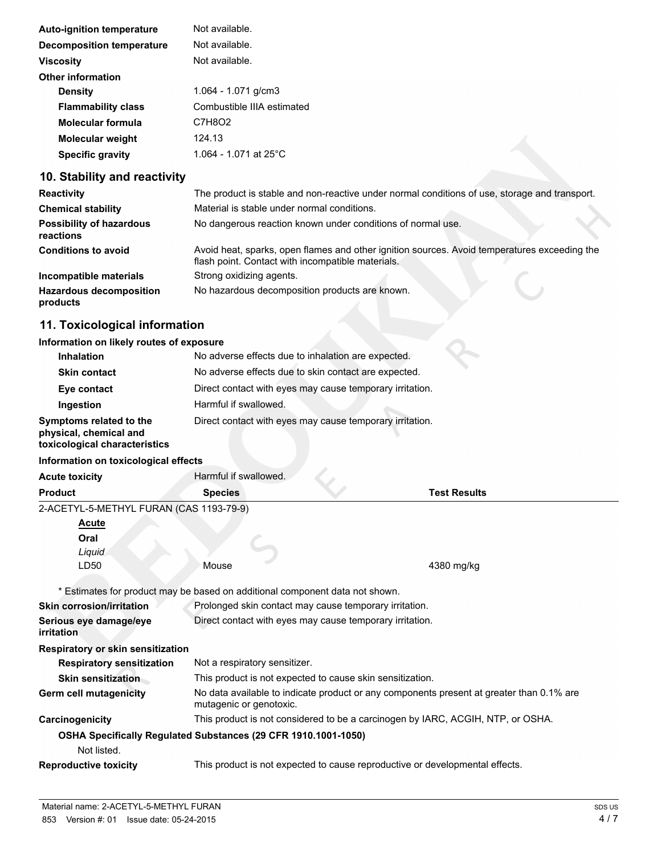| <b>Auto-ignition temperature</b> | Not available.             |
|----------------------------------|----------------------------|
| Decomposition temperature        | Not available.             |
| <b>Viscosity</b>                 | Not available.             |
| Other information                |                            |
| <b>Density</b>                   | 1.064 - 1.071 g/cm3        |
| <b>Flammability class</b>        | Combustible IIIA estimated |
| Molecular formula                | C7H8O2                     |
| <b>Molecular weight</b>          | 124.13                     |
| <b>Specific gravity</b>          | 1.064 - 1.071 at 25°C      |

# **10. Stability and reactivity**

| <b>Reactivity</b>                            | The product is stable and non-reactive under normal conditions of use, storage and transport.                                                     |
|----------------------------------------------|---------------------------------------------------------------------------------------------------------------------------------------------------|
| <b>Chemical stability</b>                    | Material is stable under normal conditions.                                                                                                       |
| <b>Possibility of hazardous</b><br>reactions | No dangerous reaction known under conditions of normal use.                                                                                       |
| <b>Conditions to avoid</b>                   | Avoid heat, sparks, open flames and other ignition sources. Avoid temperatures exceeding the<br>flash point. Contact with incompatible materials. |
| Incompatible materials                       | Strong oxidizing agents.                                                                                                                          |
| <b>Hazardous decomposition</b><br>products   | No hazardous decomposition products are known.                                                                                                    |

# **11. Toxicological information**

#### **Information on likely routes of exposure**

| <b>Inhalation</b>                                                                  | No adverse effects due to inhalation are expected.       |
|------------------------------------------------------------------------------------|----------------------------------------------------------|
| <b>Skin contact</b>                                                                | No adverse effects due to skin contact are expected.     |
| Eye contact                                                                        | Direct contact with eyes may cause temporary irritation. |
| Ingestion                                                                          | Harmful if swallowed.                                    |
| Symptoms related to the<br>physical, chemical and<br>toxicological characteristics | Direct contact with eyes may cause temporary irritation. |

#### **Information on toxicological effects**

| Acute toxicity                                                               | Harmful if swallowed.         |                                                                                          |
|------------------------------------------------------------------------------|-------------------------------|------------------------------------------------------------------------------------------|
| Product                                                                      | <b>Species</b>                | <b>Test Results</b>                                                                      |
| 2-ACETYL-5-METHYL FURAN (CAS 1193-79-9)                                      |                               |                                                                                          |
| <b>Acute</b>                                                                 |                               |                                                                                          |
| Oral                                                                         |                               |                                                                                          |
| Liquid                                                                       |                               |                                                                                          |
| LD50                                                                         | Mouse                         | 4380 mg/kg                                                                               |
| * Estimates for product may be based on additional component data not shown. |                               |                                                                                          |
| <b>Skin corrosion/irritation</b>                                             |                               | Prolonged skin contact may cause temporary irritation.                                   |
| Serious eye damage/eye<br>irritation                                         |                               | Direct contact with eyes may cause temporary irritation.                                 |
| <b>Respiratory or skin sensitization</b>                                     |                               |                                                                                          |
| <b>Respiratory sensitization</b>                                             | Not a respiratory sensitizer. |                                                                                          |
| <b>Skin sensitization</b>                                                    |                               | This product is not expected to cause skin sensitization.                                |
| Germ cell mutagenicity                                                       | mutagenic or genotoxic.       | No data available to indicate product or any components present at greater than 0.1% are |
| Carcinogenicity                                                              |                               | This product is not considered to be a carcinogen by IARC, ACGIH, NTP, or OSHA.          |
| OSHA Specifically Regulated Substances (29 CFR 1910.1001-1050)               |                               |                                                                                          |
| Not listed.                                                                  |                               |                                                                                          |
| <b>Reproductive toxicity</b>                                                 |                               | This product is not expected to cause reproductive or developmental effects.             |
|                                                                              |                               |                                                                                          |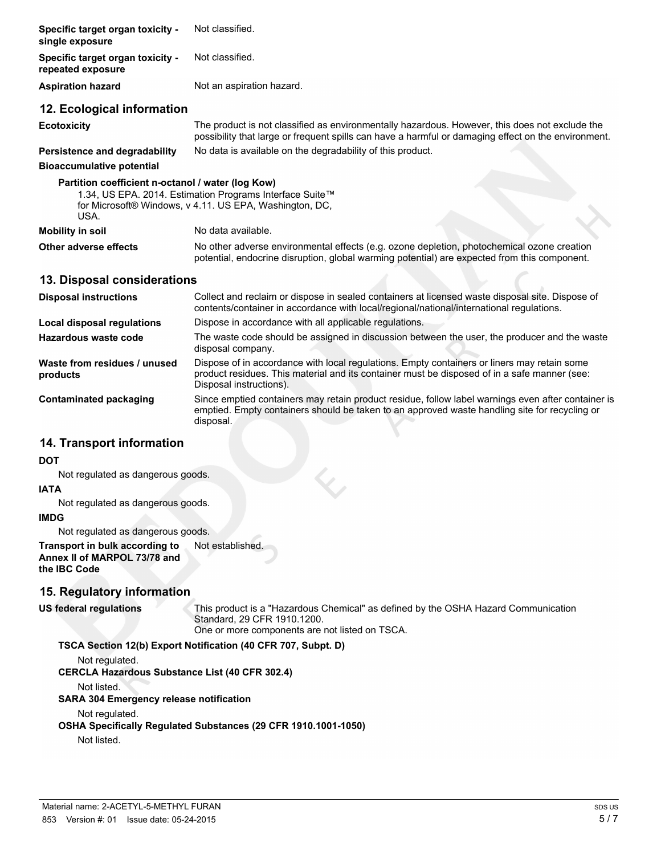| Specific target organ toxicity -<br>single exposure       | Not classified.                                                                                                                                                                                       |  |
|-----------------------------------------------------------|-------------------------------------------------------------------------------------------------------------------------------------------------------------------------------------------------------|--|
| Specific target organ toxicity -<br>repeated exposure     | Not classified.                                                                                                                                                                                       |  |
| <b>Aspiration hazard</b>                                  | Not an aspiration hazard.                                                                                                                                                                             |  |
| 12. Ecological information                                |                                                                                                                                                                                                       |  |
| <b>Ecotoxicity</b>                                        | The product is not classified as environmentally hazardous. However, this does not exclude the<br>possibility that large or frequent spills can have a harmful or damaging effect on the environment. |  |
| Persistence and degradability                             | No data is available on the degradability of this product.                                                                                                                                            |  |
| <b>Bioaccumulative potential</b>                          |                                                                                                                                                                                                       |  |
| Partition coefficient n-octanol / water (log Kow)<br>USA. | 1.34, US EPA. 2014. Estimation Programs Interface Suite™<br>for Microsoft® Windows, v 4.11. US EPA, Washington, DC,                                                                                   |  |
| <b>Mobility in soil</b>                                   | No data available.                                                                                                                                                                                    |  |
| <b>Other adverse effects</b>                              | No other adverse environmental effects (e.g. ozone depletion, photochemical ozone creation<br>potential, endocrine disruption, global warming potential) are expected from this component.            |  |
| 13. Disposal considerations                               |                                                                                                                                                                                                       |  |

| <b>Disposal instructions</b>             | Collect and reclaim or dispose in sealed containers at licensed waste disposal site. Dispose of<br>contents/container in accordance with local/regional/national/international regulations.                            |
|------------------------------------------|------------------------------------------------------------------------------------------------------------------------------------------------------------------------------------------------------------------------|
| Local disposal regulations               | Dispose in accordance with all applicable regulations.                                                                                                                                                                 |
| Hazardous waste code                     | The waste code should be assigned in discussion between the user, the producer and the waste<br>disposal company.                                                                                                      |
| Waste from residues / unused<br>products | Dispose of in accordance with local regulations. Empty containers or liners may retain some<br>product residues. This material and its container must be disposed of in a safe manner (see:<br>Disposal instructions). |
| Contaminated packaging                   | Since emptied containers may retain product residue, follow label warnings even after container is<br>emptied. Empty containers should be taken to an approved waste handling site for recycling or<br>disposal.       |

### **14. Transport information**

#### **DOT**

Not regulated as dangerous goods.

#### **IATA**

Not regulated as dangerous goods.

#### **IMDG**

Not regulated as dangerous goods.

**Transport in bulk according to** Not established. **Annex II of MARPOL 73/78 and the IBC Code**

### **15. Regulatory information**

**US federal regulations** This product is a "Hazardous Chemical" as defined by the OSHA Hazard Communication Standard, 29 CFR 1910.1200. One or more components are not listed on TSCA.

**TSCA Section 12(b) Export Notification (40 CFR 707, Subpt. D)**

Not regulated. **CERCLA Hazardous Substance List (40 CFR 302.4)** Not listed. **SARA 304 Emergency release notification** Not regulated. **OSHA Specifically Regulated Substances (29 CFR 1910.1001-1050)** Not listed.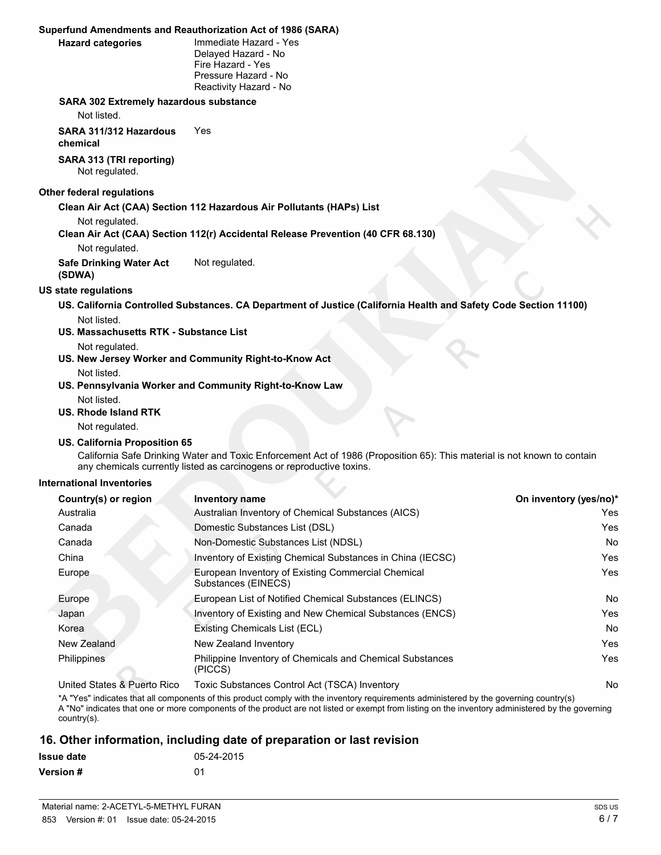#### **Superfund Amendments and Reauthorization Act of 1986 (SARA)**

| <b>Hazard categories</b> |  |
|--------------------------|--|

**Immediate Hazard - Yes** Delayed Hazard - No Fire Hazard - Yes Pressure Hazard - No Reactivity Hazard - No

#### **SARA 302 Extremely hazardous substance**

Not listed.

**SARA 311/312 Hazardous chemical** Yes

**SARA 313 (TRI reporting)** Not regulated.

#### **Other federal regulations**

**Clean Air Act (CAA) Section 112 Hazardous Air Pollutants (HAPs) List**

Not regulated.

**Clean Air Act (CAA) Section 112(r) Accidental Release Prevention (40 CFR 68.130)**

Not regulated.

**Safe Drinking Water Act (SDWA)** Not regulated.

#### **US state regulations**

**US. California Controlled Substances. CA Department of Justice (California Health and Safety Code Section 11100)** Not listed.

**US. Massachusetts RTK - Substance List**

Not regulated.

**US. New Jersey Worker and Community Right-to-Know Act**

#### Not listed.

**US. Pennsylvania Worker and Community Right-to-Know Law** Not listed.

#### **US. Rhode Island RTK**

Not regulated.

#### **US. California Proposition 65**

California Safe Drinking Water and Toxic Enforcement Act of 1986 (Proposition 65): This material is not known to contain any chemicals currently listed as carcinogens or reproductive toxins.

#### **International Inventories**

| Country(s) or region         | <b>Inventory name</b>                                                     | On inventory (yes/no)* |
|------------------------------|---------------------------------------------------------------------------|------------------------|
| Australia                    | Australian Inventory of Chemical Substances (AICS)                        | Yes                    |
| Canada                       | Domestic Substances List (DSL)                                            | Yes                    |
| Canada                       | Non-Domestic Substances List (NDSL)                                       | <b>No</b>              |
| China                        | Inventory of Existing Chemical Substances in China (IECSC)                | Yes                    |
| Europe                       | European Inventory of Existing Commercial Chemical<br>Substances (EINECS) | Yes                    |
| Europe                       | European List of Notified Chemical Substances (ELINCS)                    | <b>No</b>              |
| Japan                        | Inventory of Existing and New Chemical Substances (ENCS)                  | Yes                    |
| Korea                        | Existing Chemicals List (ECL)                                             | <b>No</b>              |
| New Zealand                  | New Zealand Inventory                                                     | Yes                    |
| Philippines                  | Philippine Inventory of Chemicals and Chemical Substances<br>(PICCS)      | Yes                    |
| Linited Ctates & Duarte Dies | $Tavi2$ Cubetanese Control Aet (TCCA) Inventory                           | $N_{\alpha}$           |

United States & Puerto Rico Toxic Substances Control Act (TSCA) Inventory No

\*A "Yes" indicates that all components of this product comply with the inventory requirements administered by the governing country(s) A "No" indicates that one or more components of the product are not listed or exempt from listing on the inventory administered by the governing country(s).

### **16. Other information, including date of preparation or last revision**

| Issue date | 05-24-2015 |
|------------|------------|
| Version #  | .በ1        |